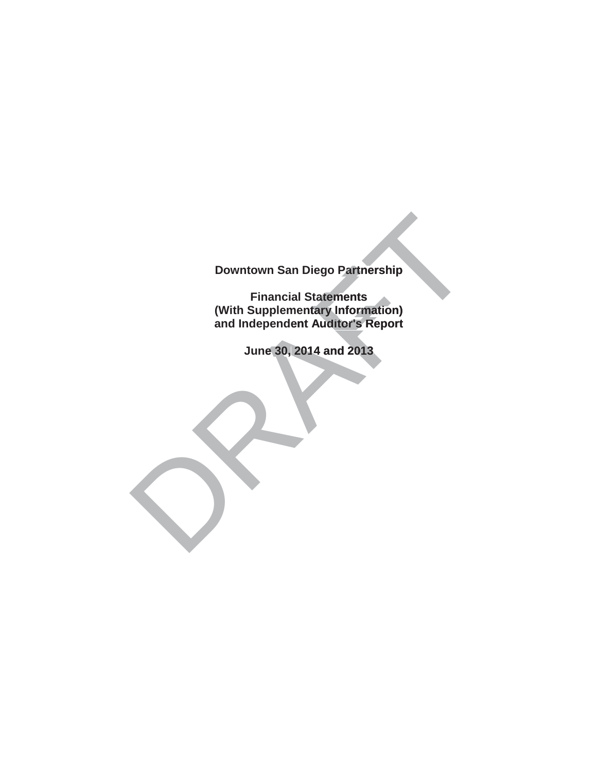**Financial Statements (With Supplementary Information) and Independent Auditor's Report** Downtown San Diego Partnership<br>Financial Statements<br>(With Supplementary Information)<br>and Independent Auditor's Report<br>June 30, 2014 and 2013 **d** Statements<br>entary Information **dent uditor's R**

June 30, 2014 and 2013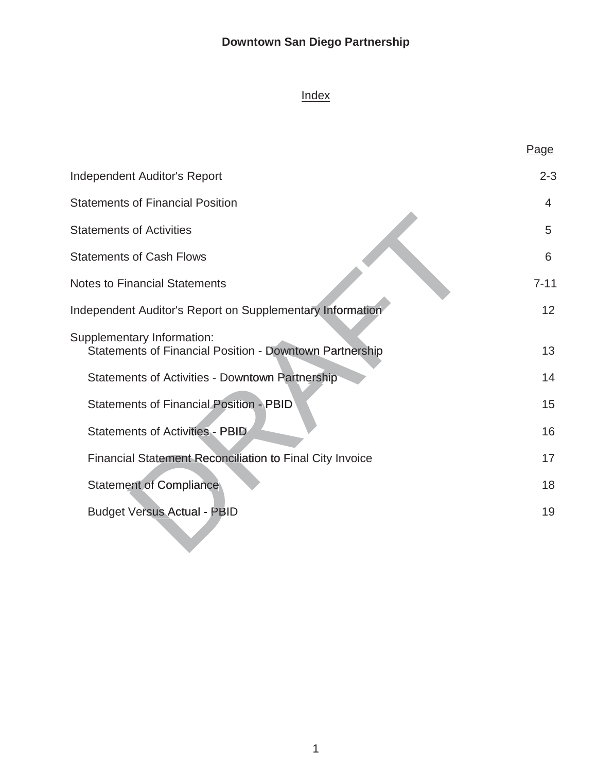# **Index**

Page

| <b>Independent Auditor's Report</b>                                                          | $2 - 3$         |
|----------------------------------------------------------------------------------------------|-----------------|
| <b>Statements of Financial Position</b>                                                      | 4               |
| <b>Statements of Activities</b>                                                              | 5               |
| <b>Statements of Cash Flows</b>                                                              | 6               |
| <b>Notes to Financial Statements</b>                                                         | $7 - 11$        |
| Independent Auditor's Report on Supplementary Information                                    | 12 <sup>2</sup> |
| Supplementary Information:<br><b>Statements of Financial Position - Downtown Partnership</b> | 13              |
| Statements of Activities - Downtown Partnership                                              | 14              |
| <b>Statements of Financial Position - PBID</b>                                               | 15              |
| <b>Statements of Activities - PBID</b>                                                       | 16              |
| Financial Statement Reconciliation to Final City Invoice                                     | 17              |
| <b>Statement of Compliance</b>                                                               | 18              |
| <b>Budget Versus Actual - PBID</b>                                                           | 19              |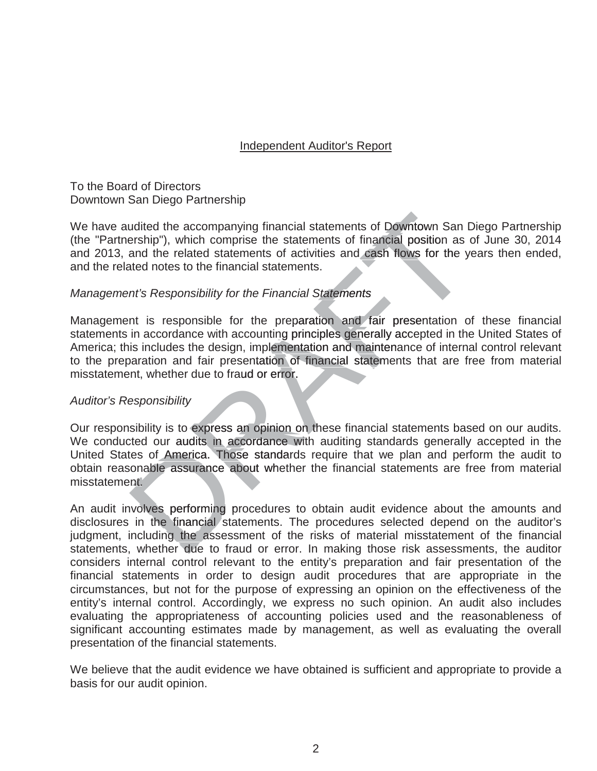# Independent Auditor's Report

To the Board of Directors Downtown San Diego Partnership

We have audited the accompanying financial statements of Downtown San Diego Partnership (the "Partnership"), which comprise the statements of financial position as of June 30, 2014 and 2013, and the related statements of activities and cash flows for the years then ended, and the related notes to the financial statements.

# *Management's Responsibility for the Financial Statements Statem*

Management is responsible for the preparation and fair presentation of these financial statements in accordance with accounting principles generally accepted in the United States of America; this includes the design, implementation and maintenance of internal control relevant to the preparation and fair presentation of financial statements that are free from material misstatement, whether due to fraud or error. udited the accompanying financial statements of Downtown San Eership"), which comprise the statements of financial position as and the related statements of activities and cash flows for the yerded notes to the financial s

# *Auditor's Responsibility*

misstatement, whether due to fraud or error.<br>
Auditor's Responsibility<br>
Our responsibility is to express an opinion on these financial statements based on our audits. We conducted our audits in accordance with auditing standards generally accepted in the United States of America. Those standards require that we plan and perform the audit to obtain reasonable assurance about whether the financial statements are free from material misstatement.

misstatement.<br>An audit involves performing procedures to obtain audit evidence about the amounts and disclosures in the financial statements. The procedures selected depend on the auditor's judgment, including the assessment of the risks of material misstatement of the financial statements, whether due to fraud or error. In making those risk assessments, the auditor considers internal control relevant to the entity's preparation and fair presentation of the financial statements in order to design audit procedures that are appropriate in the circumstances, but not for the purpose of expressing an opinion on the effectiveness of the entity's internal control. Accordingly, we express no such opinion. An audit also includes evaluating the appropriateness of accounting policies used and the reasonableness of significant accounting estimates made by management, as well as evaluating the overall presentation of the financial statements.

We believe that the audit evidence we have obtained is sufficient and appropriate to provide a basis for our audit opinion.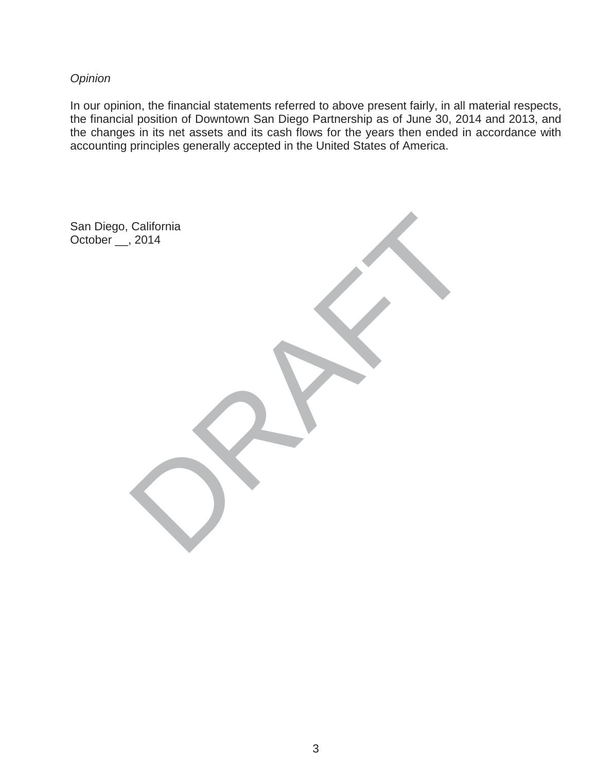*Opinion*

In our opinion, the financial statements referred to above present fairly, in all material respects, the financial position of Downtown San Diego Partnership as of June 30, 2014 and 2013, and the changes in its net assets and its cash flows for the years then ended in accordance with accounting principles generally accepted in the United States of America.

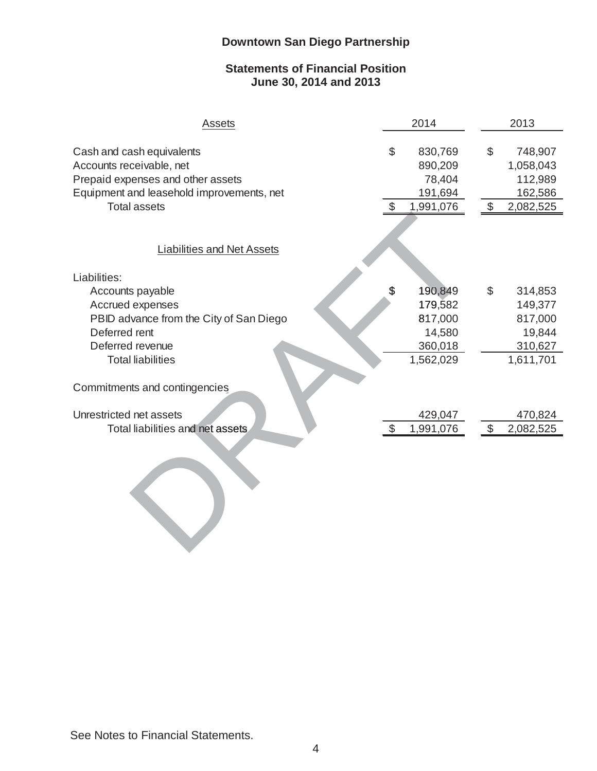# **Statements of Financial Position June 30, 2014 and 2013**

| Assets                                    | 2014          |           | 2013            |  |
|-------------------------------------------|---------------|-----------|-----------------|--|
|                                           |               |           |                 |  |
| Cash and cash equivalents                 | $\mathcal{L}$ | 830,769   | \$<br>748,907   |  |
| Accounts receivable, net                  |               | 890,209   | 1,058,043       |  |
| Prepaid expenses and other assets         |               | 78,404    | 112,989         |  |
| Equipment and leasehold improvements, net |               | 191,694   | 162,586         |  |
| <b>Total assets</b>                       | $\mathcal{L}$ | 1,991,076 | \$<br>2,082,525 |  |
|                                           |               |           |                 |  |
|                                           |               |           |                 |  |
| <b>Liabilities and Net Assets</b>         |               |           |                 |  |
|                                           |               |           |                 |  |
| Liabilities:                              |               |           |                 |  |
| Accounts payable                          | \$            | 190,849   | \$<br>314,853   |  |
| Accrued expenses                          |               | 179,582   | 149,377         |  |
| PBID advance from the City of San Diego   |               | 817,000   | 817,000         |  |
| Deferred rent                             |               | 14,580    | 19,844          |  |
| Deferred revenue                          |               | 360,018   | 310,627         |  |
| <b>Total liabilities</b>                  |               | 1,562,029 | 1,611,701       |  |
|                                           |               |           |                 |  |
| Commitments and contingencies             |               |           |                 |  |
|                                           |               |           |                 |  |
| Unrestricted net assets                   |               | 429,047   | 470,824         |  |
| Total liabilities and net assets          | \$            | 1,991,076 | \$<br>2,082,525 |  |
|                                           |               |           |                 |  |
|                                           |               |           |                 |  |
|                                           |               |           |                 |  |
|                                           |               |           |                 |  |
|                                           |               |           |                 |  |
|                                           |               |           |                 |  |
|                                           |               |           |                 |  |
|                                           |               |           |                 |  |
|                                           |               |           |                 |  |

See Notes to Financial Statements.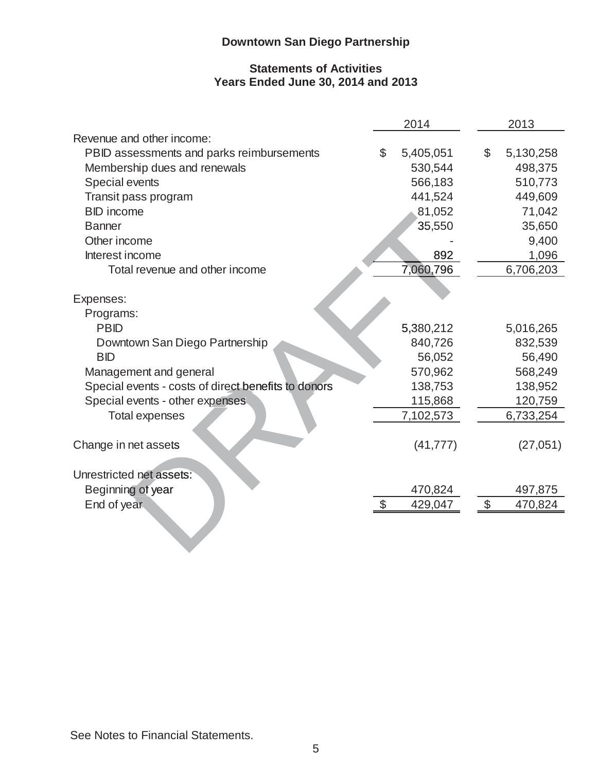# **Statements of Activities Years Ended June 30, 2014 and 2013**

|                                                     |               | 2014      |               | 2013      |
|-----------------------------------------------------|---------------|-----------|---------------|-----------|
| Revenue and other income:                           |               |           |               |           |
| PBID assessments and parks reimbursements           | \$            | 5,405,051 | \$            | 5,130,258 |
| Membership dues and renewals                        |               | 530,544   |               | 498,375   |
| Special events                                      |               | 566,183   |               | 510,773   |
| Transit pass program                                |               | 441,524   |               | 449,609   |
| <b>BID</b> income                                   |               | 81,052    |               | 71,042    |
| <b>Banner</b>                                       |               | 35,550    |               | 35,650    |
| Other income                                        |               |           |               | 9,400     |
| Interest income                                     |               | 892       |               | 1,096     |
| Total revenue and other income                      |               | 7,060,796 |               | 6,706,203 |
|                                                     |               |           |               |           |
| Expenses:                                           |               |           |               |           |
| Programs:                                           |               |           |               |           |
| <b>PBID</b>                                         |               | 5,380,212 |               | 5,016,265 |
| Downtown San Diego Partnership                      |               | 840,726   |               | 832,539   |
| <b>BID</b>                                          |               | 56,052    |               | 56,490    |
| Management and general                              |               | 570,962   |               | 568,249   |
| Special events - costs of direct benefits to donors |               | 138,753   |               | 138,952   |
| Special events - other expenses                     |               | 115,868   |               | 120,759   |
| <b>Total expenses</b>                               |               | 7,102,573 |               | 6,733,254 |
|                                                     |               |           |               |           |
| Change in net assets                                |               | (41, 777) |               | (27,051)  |
|                                                     |               |           |               |           |
| Unrestricted net assets:                            |               |           |               |           |
| Beginning of year                                   |               | 470,824   |               | 497,875   |
| End of year                                         | $\mathcal{L}$ | 429,047   | $\mathcal{L}$ | 470,824   |
|                                                     |               |           |               |           |
|                                                     |               |           |               |           |
|                                                     |               |           |               |           |

See Notes to Financial Statements.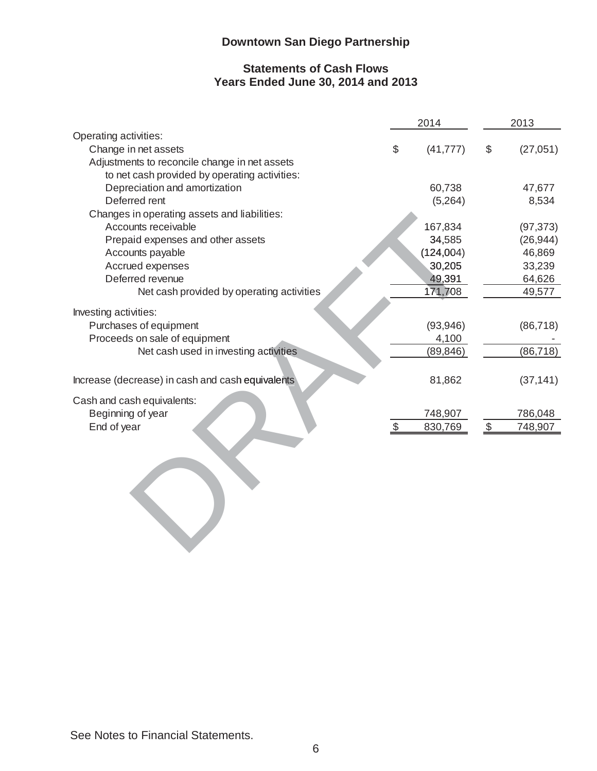# **Statements of Cash Flows Years Ended June 30, 2014 and 2013**

|                                                  | 2014            |               | 2013      |
|--------------------------------------------------|-----------------|---------------|-----------|
| Operating activities:                            |                 |               |           |
| Change in net assets                             | \$<br>(41, 777) | \$            | (27,051)  |
| Adjustments to reconcile change in net assets    |                 |               |           |
| to net cash provided by operating activities:    |                 |               |           |
| Depreciation and amortization                    | 60,738          |               | 47,677    |
| Deferred rent                                    | (5,264)         |               | 8,534     |
| Changes in operating assets and liabilities:     |                 |               |           |
| Accounts receivable                              | 167,834         |               | (97, 373) |
| Prepaid expenses and other assets                | 34,585          |               | (26, 944) |
| Accounts payable                                 | (124,004)       |               | 46,869    |
| Accrued expenses                                 | 30,205          |               | 33,239    |
| Deferred revenue                                 | 49,391          |               | 64,626    |
| Net cash provided by operating activities        | 171,708         |               | 49,577    |
| Investing activities:                            |                 |               |           |
| Purchases of equipment                           | (93, 946)       |               | (86, 718) |
| Proceeds on sale of equipment                    | 4,100           |               |           |
| Net cash used in investing activities            | (89, 846)       |               | (86, 718) |
|                                                  |                 |               |           |
| Increase (decrease) in cash and cash equivalents | 81,862          |               | (37, 141) |
| Cash and cash equivalents:                       |                 |               |           |
| Beginning of year                                | 748,907         |               | 786,048   |
| End of year                                      | 830,769         | $\mathcal{L}$ | 748,907   |
|                                                  |                 |               |           |
|                                                  |                 |               |           |

 $\bigcirc$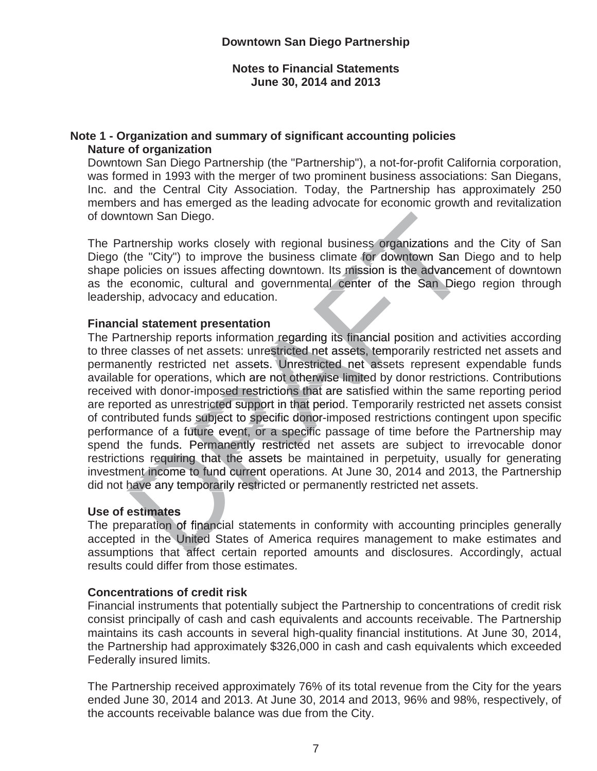# **Note 1 - Organization and summary of significant accounting policies Nature of organization**

Downtown San Diego Partnership (the "Partnership"), a not-for-profit California corporation, was formed in 1993 with the merger of two prominent business associations: San Diegans, Inc. and the Central City Association. Today, the Partnership has approximately 250 members and has emerged as the leading advocate for economic growth and revitalization of downtown San Diego.

The Partnership works closely with regional business organizations and the City of San Diego (the "City") to improve the business climate for downtown San Diego and to help shape policies on issues affecting downtown. Its mission is the advancement of downtown as the economic, cultural and governmental center of the San Diego region through leadership, advocacy and education.

# **Financial statement presentation**

The Partnership reports information regarding its financial position and activities according to three classes of net assets: unrestricted net assets, temporarily restricted net assets and permanently restricted net assets. Unrestricted net assets represent expendable funds available for operations, which are not otherwise limited by donor restrictions. Contributions received with donor-imposed restrictions that are satisfied within the same reporting period are reported as unrestricted support in that period. Temporarily restricted net assets consist of contributed funds subject to specific donor-imposed restrictions contingent upon specific performance of a future event, or a specific passage of time before the Partnership may spend the funds. Permanently restricted net assets are subject to irrevocable donor restrictions requiring that the assets be maintained in perpetuity, usually for generating investment income to fund current operations. At June 30, 2014 and 2013, the Partnership did not have any temporarily restricted or permanently restricted net assets. the "City" of the Universal productions and the "City") to improve the business comentations and<br>the "City") to improve the business climate for downtown San Dolicies on issues affecting downtown. Its mission is the advanc

# **Use of estimates timates timat**

The preparation of financial statements in conformity with accounting principles generally accepted in the United States of America requires management to make estimates and assumptions that affect certain reported amounts and disclosures. Accordingly, actual afresults could differ from those estimates.

# **Concentrations of credit risk**

Financial instruments that potentially subject the Partnership to concentrations of credit risk consist principally of cash and cash equivalents and accounts receivable. The Partnership maintains its cash accounts in several high-quality financial institutions. At June 30, 2014, the Partnership had approximately \$326,000 in cash and cash equivalents which exceeded Federally insured limits.

The Partnership received approximately 76% of its total revenue from the City for the years ended June 30, 2014 and 2013. At June 30, 2014 and 2013, 96% and 98%, respectively, of the accounts receivable balance was due from the City.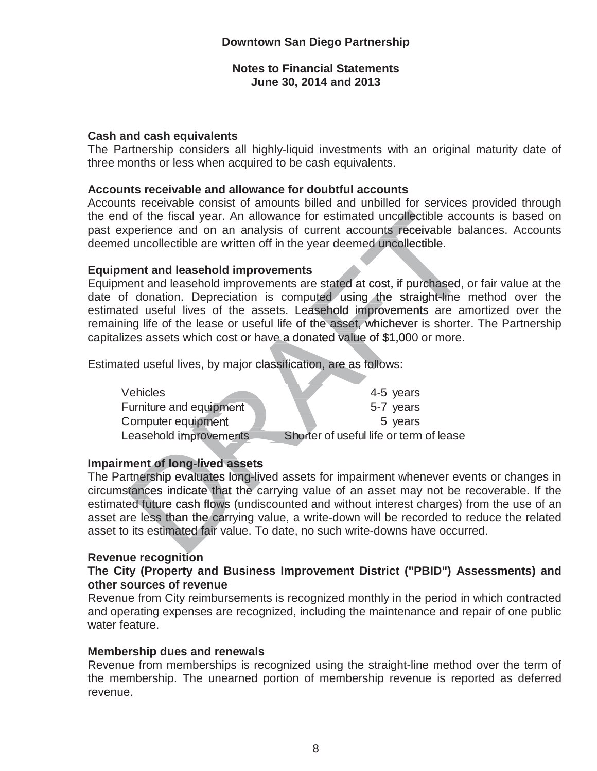# **Cash and cash equivalents**

The Partnership considers all highly-liquid investments with an original maturity date of three months or less when acquired to be cash equivalents.

# **Accounts receivable and allowance for doubtful accounts**

Accounts receivable consist of amounts billed and unbilled for services provided through the end of the fiscal year. An allowance for estimated uncollectible accounts is based on past experience and on an analysis of current accounts receivable balances. Accounts deemed uncollectible are written off in the year deemed uncollectible.

### **Equipment and leasehold improvements**

Equipment and leasehold improvements are stated at cost, if purchased, or fair value at the date of donation. Depreciation is computed using the straight-line method over the estimated useful lives of the assets. Leasehold improvements are amortized over the remaining life of the lease or useful life of the asset, whichever is shorter. The Partnership capitalizes assets which cost or have a donated value of \$1,000 or more.

Estimated useful lives, by major classification, are as follows:

|                                                             | ning life of the lease or useful life of the asset, whichever is shorte<br>alizes assets which cost or have a donated value of \$1,000 or more. |
|-------------------------------------------------------------|-------------------------------------------------------------------------------------------------------------------------------------------------|
| ated useful lives, by major classification, are as follows: |                                                                                                                                                 |
| <b>Vehicles</b>                                             | 4-5 years                                                                                                                                       |
| Furniture and equipment                                     | 5-7 years                                                                                                                                       |
| Computer equipment                                          | 5 years                                                                                                                                         |
| Leasehold improvements                                      | Shorter of useful life or term of lease                                                                                                         |
| irment of long-lived assets                                 | Partnership evaluates long-lived assets for impairment whenever eve<br>potopogo indicato that the compion volve of an accet meav not he         |

# **Impairment of long-lived assets t lived ass**

The Partnership evaluates long-lived assets for impairment whenever events or changes in circumstances indicate that the carrying value of an asset may not be recoverable. If the estimated future cash flows (undiscounted and without interest charges) from the use of an asset are less than the carrying value, a write-down will be recorded to reduce the related asset to its estimated fair value. To date, no such write-downs have occurred. Vehicles<br>
Furniture and equipment<br>
Computer equipment<br>
Computer equipment<br>
Reasehold improvements<br>
Short<br>
nent of long-lived assets<br>
rthership evaluates long-lived asset:<br>
ttances indicate that the carrying value, a<br>
read

# **Revenue recognition i**

# **The City (Property and Business Improvement District ("PBID") Assessments) and other sources of revenue**

Revenue from City reimbursements is recognized monthly in the period in which contracted and operating expenses are recognized, including the maintenance and repair of one public water feature.

# **Membership dues and renewals**

Revenue from memberships is recognized using the straight-line method over the term of the membership. The unearned portion of membership revenue is reported as deferred revenue.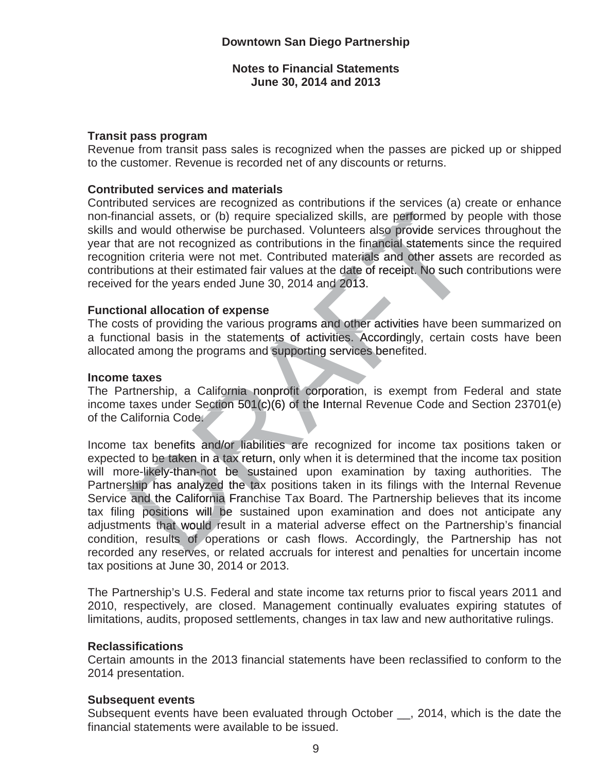# **Transit pass program**

Revenue from transit pass sales is recognized when the passes are picked up or shipped to the customer. Revenue is recorded net of any discounts or returns.

# **Contributed services and materials**

Contributed services are recognized as contributions if the services (a) create or enhance non-financial assets, or (b) require specialized skills, are performed by people with those skills and would otherwise be purchased. Volunteers also provide services throughout the year that are not recognized as contributions in the financial statements since the required recognition criteria were not met. Contributed materials and other assets are recorded as contributions at their estimated fair values at the date of receipt. No such contributions were received for the years ended June 30, 2014 and 2013.

### **Functional allocation of expense**

The costs of providing the various programs and other activities have been summarized on<br>The costs of providing the various programs and other activities have been summarized on a functional basis in the statements of activities. Accordingly, certain costs have been allocated among the programs and supporting services benefited.

#### **Income taxes**

The Partnership, a California nonprofit corporation, is exempt from Federal and state income taxes under Section 501(c)(6) of the Internal Revenue Code and Section 23701(e) of the California Code.

of the California Code.<br>Income tax benefits and/or liabilities are recognized for income tax positions taken or expected to be taken in a tax return, only when it is determined that the income tax position will more-likely-than-not be sustained upon examination by taxing authorities. The Partnership has analyzed the tax positions taken in its filings with the Internal Revenue Service and the California Franchise Tax Board. The Partnership believes that its income tax filing positions will be sustained upon examination and does not anticipate any adjustments that would result in a material adverse effect on the Partnership's financial condition, results of operations or cash flows. Accordingly, the Partnership has not recorded any reserves, or related accruals for interest and penalties for uncertain income tax positions at June 30, 2014 or 2013. ancial assets, or (b) require specialized skills, are performed by p<br>ancial assets, or (b) require specialized skills, are performed by p<br>at are not recognized as contributions in the financial statements<br>to to criteria we

The Partnership's U.S. Federal and state income tax returns prior to fiscal years 2011 and 2010, respectively, are closed. Management continually evaluates expiring statutes of limitations, audits, proposed settlements, changes in tax law and new authoritative rulings.

#### **Reclassifications**

Certain amounts in the 2013 financial statements have been reclassified to conform to the 2014 presentation.

#### **Subsequent events**

Subsequent events have been evaluated through October \_\_, 2014, which is the date the financial statements were available to be issued.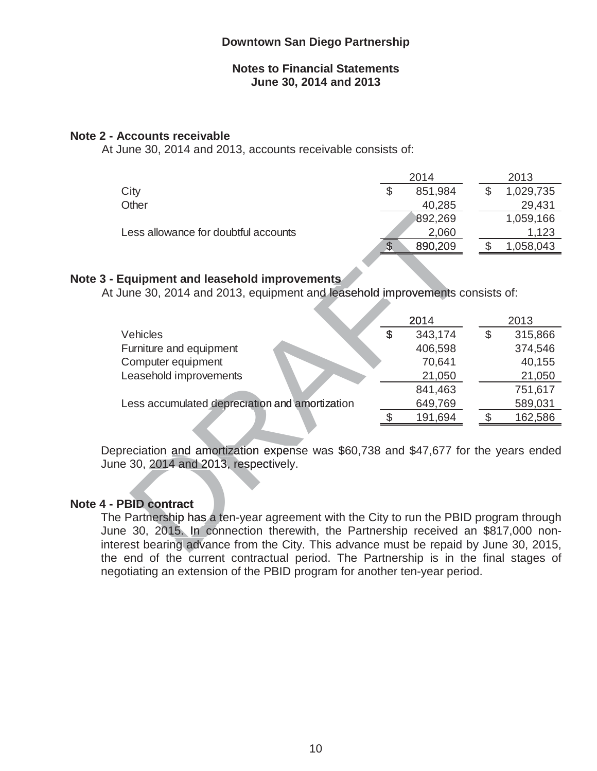# **Note 2 - Accounts receivable**

At June 30, 2014 and 2013, accounts receivable consists of:

|                                                                                                                          | 2014          |    | 2013      |
|--------------------------------------------------------------------------------------------------------------------------|---------------|----|-----------|
| City                                                                                                                     | \$<br>851,984 | \$ | 1,029,735 |
| Other                                                                                                                    | 40,285        |    | 29,431    |
|                                                                                                                          | 892,269       |    | 1,059,166 |
| Less allowance for doubtful accounts                                                                                     | 2,060         |    | 1,123     |
|                                                                                                                          | \$<br>890,209 |    | 1,058,043 |
|                                                                                                                          |               |    |           |
| <b>Equipment and leasehold improvements</b><br>June 30, 2014 and 2013, equipment and leasehold improvements consists of: |               |    |           |
|                                                                                                                          |               |    |           |
|                                                                                                                          | 2011          |    | つハイマ      |

# **Note 3 - Equipment and leasehold improvements**

|                                                                                      |                | 892,269 |                | 1,059,166 |
|--------------------------------------------------------------------------------------|----------------|---------|----------------|-----------|
| Less allowance for doubtful accounts                                                 |                | 2,060   |                | 1,123     |
|                                                                                      | $\mathfrak{F}$ | 890,209 | \$             | 1,058,043 |
|                                                                                      |                |         |                |           |
| <b>Equipment and leasehold improvements</b>                                          |                |         |                |           |
| June 30, 2014 and 2013, equipment and leasehold improvements consists of:            |                |         |                |           |
|                                                                                      |                |         |                |           |
|                                                                                      |                | 2014    |                | 2013      |
| Vehicles                                                                             | $\mathfrak{P}$ | 343,174 | $\mathfrak{F}$ | 315,866   |
| Furniture and equipment                                                              |                | 406,598 |                | 374,546   |
| Computer equipment                                                                   |                | 70,641  |                | 40,155    |
| Leasehold improvements                                                               |                | 21,050  |                | 21,050    |
|                                                                                      |                | 841,463 |                | 751,617   |
| Less accumulated depreciation and amortization                                       |                | 649,769 |                | 589,031   |
|                                                                                      | \$             | 191,694 | $\sqrt{3}$     | 162,586   |
|                                                                                      |                |         |                |           |
| preciation and amortization expense was \$60,738 and \$47,677 for the years ended    |                |         |                |           |
| ne 30, 2014 and 2013, respectively.                                                  |                |         |                |           |
|                                                                                      |                |         |                |           |
|                                                                                      |                |         |                |           |
| <b>PBID contract</b>                                                                 |                |         |                |           |
| e Partnership has a ten-year agreement with the City to run the PBID program through |                |         |                |           |
| ne 30, 2015. In connection therewith, the Partnership received an \$817,000 non-     |                |         |                |           |
| erest bearing advance from the City. This advance must be repaid by June 30, 2015,   |                |         |                |           |
|                                                                                      |                |         |                |           |

# **Note 4 - PBID contract ID co**

The Partnership has a ten-year agreement with the City to run the PBID program through June 30, 2015. In connection therewith, the Partnership received an \$817,000 noninterest bearing advance from the City. This advance must be repaid by June 30, 2015, the end of the current contractual period. The Partnership is in the final stages of negotiating an extension of the PBID program for another ten-year period.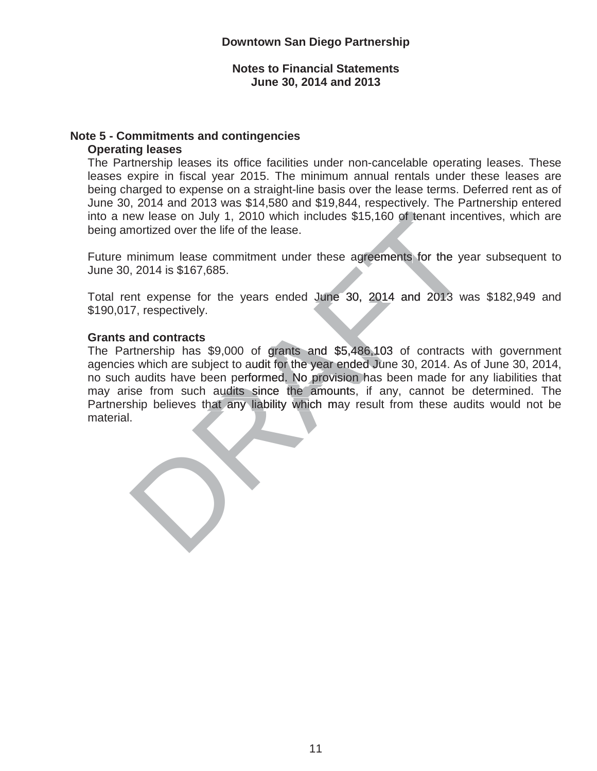#### **Note 5 - Commitments and contingencies Operating leases**

The Partnership leases its office facilities under non-cancelable operating leases. These leases expire in fiscal year 2015. The minimum annual rentals under these leases are being charged to expense on a straight-line basis over the lease terms. Deferred rent as of June 30, 2014 and 2013 was \$14,580 and \$19,844, respectively. The Partnership entered into a new lease on July 1, 2010 which includes \$15,160 of tenant incentives, which are being amortized over the life of the lease.

Future minimum lease commitment under these agreements for the year subsequent to June 30, 2014 is \$167,685.

Total rent expense for the years ended June 30, 2014 and 2013 was \$182,949 and 2013 \$190,017, respectively.

# **Grants and contracts**

The Partnership has \$9,000 of grants and \$5,486,103 of contracts with government agencies which are subject to audit for the year ended June 30, 2014. As of June 30, 2014, no such audits have been performed. No provision has been made for any liabilities that may arise from such audits since the amounts, if any, cannot be determined. The Partnership believes that any liability which may result from these audits would not be into a new lease on July 1, 2010 which includes \$15,160 of tenant ince<br>being amortized over the life of the lease.<br>Future minimum lease commitment under these agreements for the year<br>June 30, 2014 is \$167,685.<br>Total rent e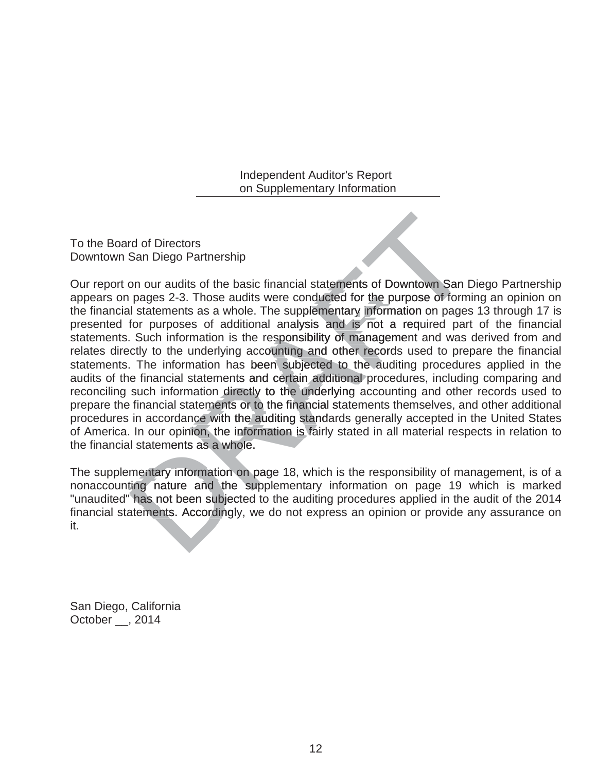Independent Auditor's Report on Supplementary Information

To the Board of Directors Downtown San Diego Partnership

Our report on our audits of the basic financial statements of Downtown San Diego Partnership appears on pages 2-3. Those audits were conducted for the purpose of forming an opinion on the financial statements as a whole. The supplementary information on pages 13 through 17 is presented for purposes of additional analysis and is not a required part of the financial statements. Such information is the responsibility of management and was derived from and relates directly to the underlying accounting and other records used to prepare the financial statements. The information has been subjected to the auditing procedures applied in the audits of the financial statements and certain additional procedures, including comparing and reconciling such information directly to the underlying accounting and other records used to prepare the financial statements or to the financial statements themselves, and other additional procedures in accordance with the auditing standards generally accepted in the United States of America. In our opinion, the information is fairly stated in all material respects in relation to the financial statements as a whole. rd of Directors<br>San Diego Partnership<br>on our audits of the basic financial statements of Downtown San L<br>pages 2-3. Those audits were conducted for the purpose of formin<br>al statements as a whole. The supplementary informati

the financial statements as a whole.<br>The supplementary information on page 18, which is the responsibility of management, is of a nonaccounting nature and the supplementary information on page 19 which is marked "unaudited" has not been subjected to the auditing procedures applied in the audit of the 2014 financial statements. Accordingly, we do not express an opinion or provide any assurance on it.

San Diego, California October \_\_, 2014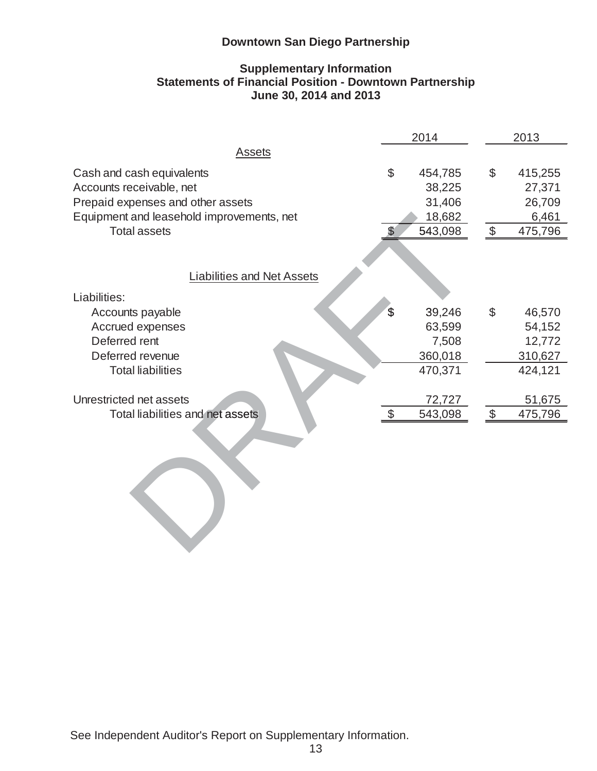# **Supplementary Information Statements of Financial Position - Downtown Partnership June 30, 2014 and 2013**

|                                           | 2014          |                | 2013    |
|-------------------------------------------|---------------|----------------|---------|
| Assets                                    |               |                |         |
| Cash and cash equivalents                 | \$<br>454,785 | \$             | 415,255 |
| Accounts receivable, net                  | 38,225        |                | 27,371  |
| Prepaid expenses and other assets         | 31,406        |                | 26,709  |
| Equipment and leasehold improvements, net | 18,682        |                | 6,461   |
| <b>Total assets</b>                       | 543,098       | $\mathfrak{F}$ | 475,796 |
| <b>Liabilities and Net Assets</b>         |               |                |         |
| Liabilities:                              |               |                |         |
| Accounts payable                          | \$<br>39,246  | \$             | 46,570  |
| Accrued expenses                          | 63,599        |                | 54,152  |
| Deferred rent                             | 7,508         |                | 12,772  |
| Deferred revenue                          | 360,018       |                | 310,627 |
| <b>Total liabilities</b>                  | 470,371       |                | 424,121 |
| Unrestricted net assets                   | 72,727        |                | 51,675  |
| Total liabilities and net assets          | 543,098       | $\mathfrak{L}$ | 475,796 |
|                                           |               |                |         |

 $\mathcal{O}$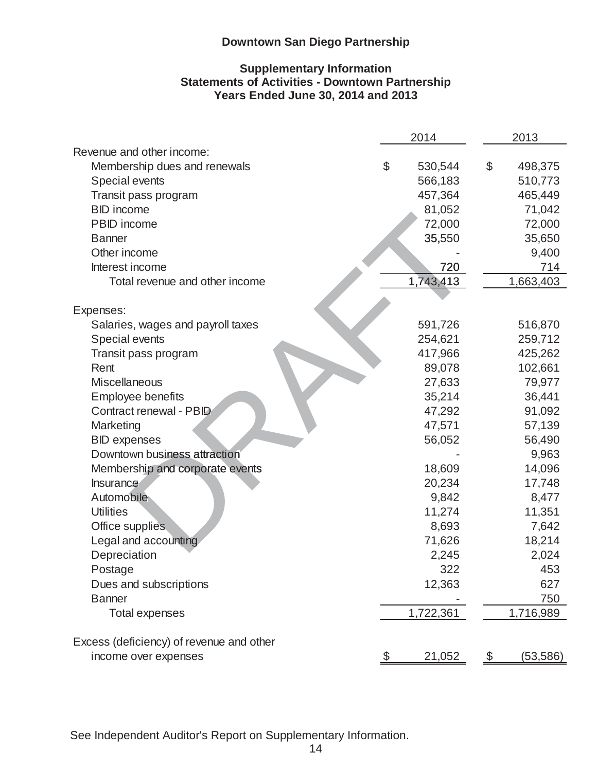# **Supplementary Information Statements of Activities - Downtown Partnership Years Ended June 30, 2014 and 2013**

|                                          | 2014 |           | 2013 |                 |
|------------------------------------------|------|-----------|------|-----------------|
| Revenue and other income:                |      |           |      |                 |
| Membership dues and renewals             | \$   | 530,544   | \$   | 498,375         |
| Special events                           |      | 566,183   |      | 510,773         |
| Transit pass program                     |      | 457,364   |      | 465,449         |
| <b>BID</b> income                        |      | 81,052    |      | 71,042          |
| PBID income                              |      | 72,000    |      | 72,000          |
| <b>Banner</b>                            |      | 35,550    |      | 35,650          |
| Other income                             |      |           |      | 9,400           |
| Interest income                          |      | 720       |      | 714             |
| Total revenue and other income           |      | 1,743,413 |      | 1,663,403       |
| Expenses:                                |      |           |      |                 |
| Salaries, wages and payroll taxes        |      | 591,726   |      | 516,870         |
| Special events                           |      | 254,621   |      | 259,712         |
| Transit pass program                     |      | 417,966   |      | 425,262         |
| Rent                                     |      | 89,078    |      | 102,661         |
| Miscellaneous                            |      | 27,633    |      | 79,977          |
| Employee benefits                        |      | 35,214    |      | 36,441          |
| Contract renewal - PBID                  |      | 47,292    |      | 91,092          |
| Marketing                                |      | 47,571    |      | 57,139          |
| <b>BID</b> expenses                      |      | 56,052    |      | 56,490          |
| Downtown business attraction             |      |           |      | 9,963           |
| Membership and corporate events          |      | 18,609    |      | 14,096          |
| Insurance                                |      | 20,234    |      | 17,748          |
| Automobile                               |      | 9,842     |      | 8,477           |
| <b>Utilities</b>                         |      | 11,274    |      | 11,351          |
| Office supplies                          |      | 8,693     |      | 7,642           |
| Legal and accounting                     |      | 71,626    |      | 18,214          |
| Depreciation                             |      | 2,245     |      | 2,024           |
| Postage                                  |      | 322       |      | 453             |
| Dues and subscriptions                   |      | 12,363    |      | 627             |
| <b>Banner</b>                            |      |           |      | 750             |
| <b>Total expenses</b>                    |      | 1,722,361 |      | 1,716,989       |
|                                          |      |           |      |                 |
| Excess (deficiency) of revenue and other |      |           |      |                 |
| income over expenses                     | \$   | 21,052    | \$   | <u>(53,586)</u> |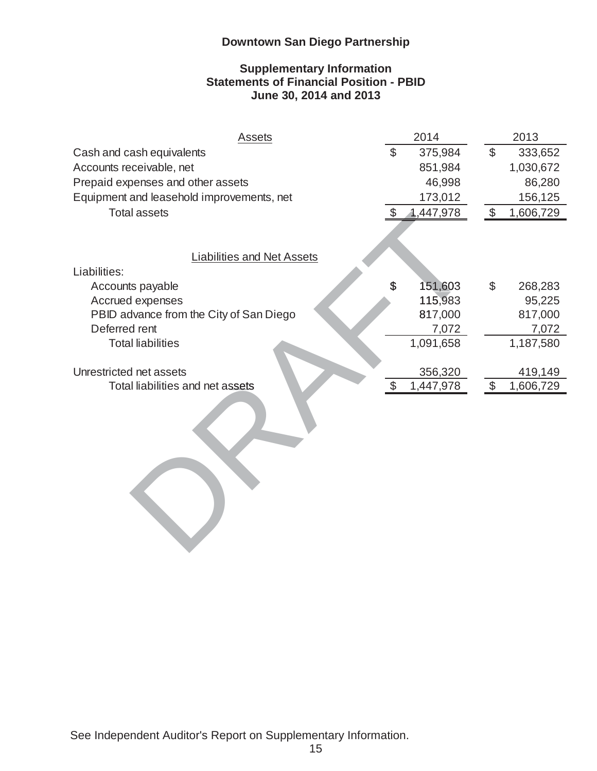# **Supplementary Information Statements of Financial Position - PBID June 30, 2014 and 2013**

| Assets                                    |                            | 2014      |                | 2013      |
|-------------------------------------------|----------------------------|-----------|----------------|-----------|
| Cash and cash equivalents                 | $\mathfrak{S}$             | 375,984   | $\mathcal{S}$  | 333,652   |
| Accounts receivable, net                  |                            | 851,984   |                | 1,030,672 |
| Prepaid expenses and other assets         |                            | 46,998    |                | 86,280    |
| Equipment and leasehold improvements, net |                            | 173,012   |                | 156,125   |
| <b>Total assets</b>                       | $\boldsymbol{\mathsf{S}}$  | 1,447,978 | $\mathfrak{L}$ | 1,606,729 |
|                                           |                            |           |                |           |
| <b>Liabilities and Net Assets</b>         |                            |           |                |           |
| Liabilities:                              |                            |           |                |           |
| Accounts payable                          | \$                         | 151,603   | $\mathcal{L}$  | 268,283   |
| Accrued expenses                          |                            | 115,983   |                | 95,225    |
| PBID advance from the City of San Diego   |                            | 817,000   |                | 817,000   |
| Deferred rent                             |                            | 7,072     |                | 7,072     |
| <b>Total liabilities</b>                  |                            | 1,091,658 |                | 1,187,580 |
| Unrestricted net assets                   |                            | 356,320   |                | 419,149   |
| Total liabilities and net assets          | $\boldsymbol{\mathcal{S}}$ | 1,447,978 | $\mathcal{L}$  | 1,606,729 |
|                                           |                            |           |                |           |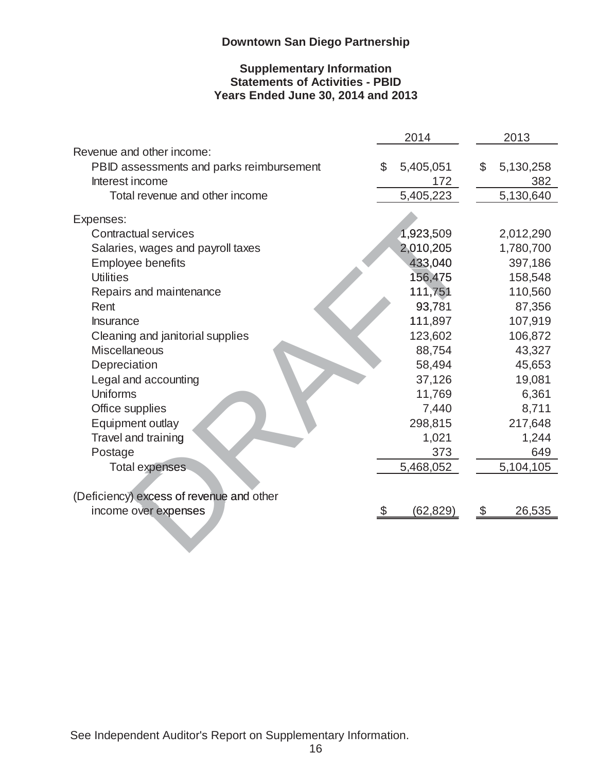# **Supplementary Information Statements of Activities - PBID Years Ended June 30, 2014 and 2013**

|                                          | 2014            | 2013            |
|------------------------------------------|-----------------|-----------------|
| Revenue and other income:                |                 |                 |
| PBID assessments and parks reimbursement | \$<br>5,405,051 | \$<br>5,130,258 |
| Interest income                          | 172             | 382             |
| Total revenue and other income           | 5,405,223       | 5,130,640       |
| Expenses:                                |                 |                 |
| <b>Contractual services</b>              | 1,923,509       | 2,012,290       |
| Salaries, wages and payroll taxes        | 2,010,205       | 1,780,700       |
| Employee benefits                        | 433,040         | 397,186         |
| <b>Utilities</b>                         | 156,475         | 158,548         |
| Repairs and maintenance                  | 111,751         | 110,560         |
| Rent                                     | 93,781          | 87,356          |
| Insurance                                | 111,897         | 107,919         |
| Cleaning and janitorial supplies         | 123,602         | 106,872         |
| <b>Miscellaneous</b>                     | 88,754          | 43,327          |
| Depreciation                             | 58,494          | 45,653          |
| Legal and accounting                     | 37,126          | 19,081          |
| Uniforms                                 | 11,769          | 6,361           |
| Office supplies                          | 7,440           | 8,711           |
| Equipment outlay                         | 298,815         | 217,648         |
| Travel and training                      | 1,021           | 1,244           |
| Postage                                  | 373             | 649             |
| <b>Total expenses</b>                    | 5,468,052       | 5,104,105       |
|                                          |                 |                 |
| (Deficiency) excess of revenue and other |                 |                 |
| income over expenses                     | \$<br>(62,829)  | \$<br>26,535    |
|                                          |                 |                 |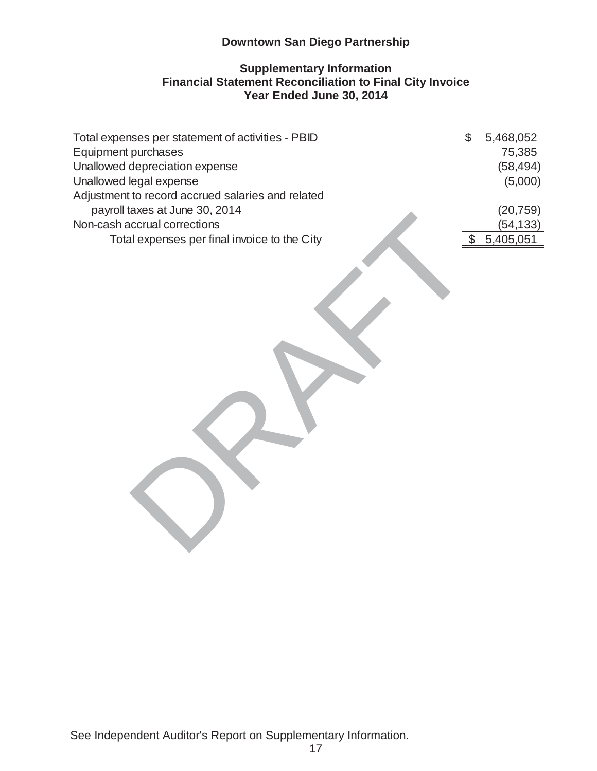# **Supplementary Information Financial Statement Reconciliation to Final City Invoice Year Ended June 30, 2014**

| Total expenses per statement of activities - PBID<br>Equipment purchases<br>Unallowed depreciation expense<br>Unallowed legal expense<br>Adjustment to record accrued salaries and related | $\mathcal{L}$ | 5,468,052<br>75,385<br>(58, 494)<br>(5,000) |
|--------------------------------------------------------------------------------------------------------------------------------------------------------------------------------------------|---------------|---------------------------------------------|
| payroll taxes at June 30, 2014                                                                                                                                                             |               | (20, 759)                                   |
| Non-cash accrual corrections                                                                                                                                                               |               | (54, 133)                                   |
| Total expenses per final invoice to the City                                                                                                                                               | $\mathcal{L}$ | 5,405,051                                   |
|                                                                                                                                                                                            |               |                                             |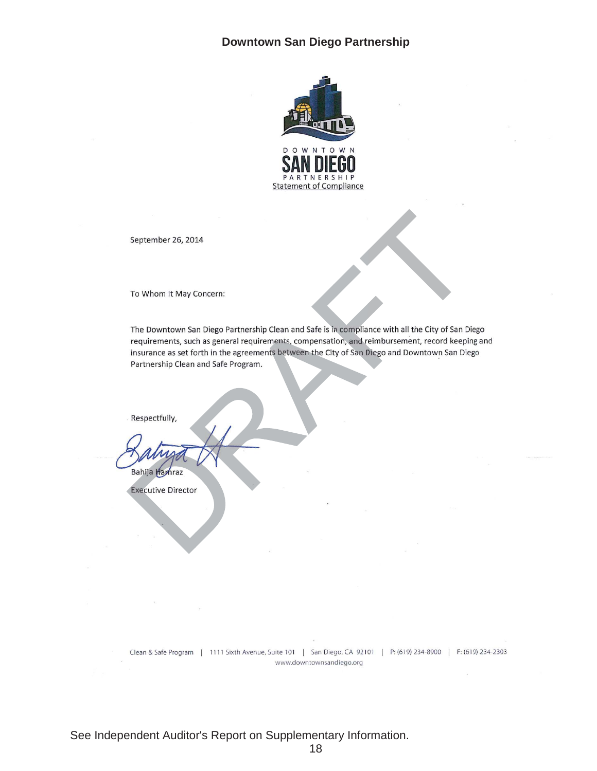

September 26, 2014

To Whom It May Concern:

The Downtown San Diego Partnership Clean and Safe is in compliance with all the City of San Diego requirements, such as general requirements, compensation, and reimbursement, record keeping and insurance as set forth in the agreements between the City of San Diego and Downtown San Diego Partnership Clean and Safe Program.

Respectfully,

Bahija Mamraz

**Executive Director** 

Clean & Safe Program | 1111 Sixth Avenue, Suite 101 | San Diego, CA 92101 | P: (619) 234-8900 | F: (619) 234-2303 www.downtownsandiego.org